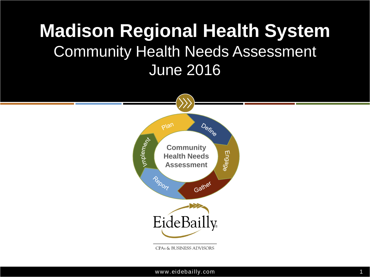### **Madison Regional Health System** Community Health Needs Assessment June 2016

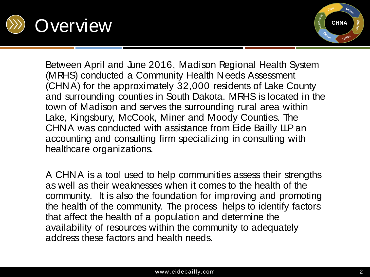



Between April and June 2016, Madison Regional Health System (MRHS) conducted a Community Health Needs Assessment (CHNA) for the approximately 32,000 residents of Lake County and surrounding counties in South Dakota. MRHS is located in the town of Madison and serves the surrounding rural area within Lake, Kingsbury, McCook, Miner and Moody Counties. The CHNA was conducted with assistance from Eide Bailly LLP an accounting and consulting firm specializing in consulting with healthcare organizations.

A CHNA is a tool used to help communities assess their strengths as well as their weaknesses when it comes to the health of the community. It is also the foundation for improving and promoting the health of the community. The process helps to identify factors that affect the health of a population and determine the availability of resources within the community to adequately address these factors and health needs.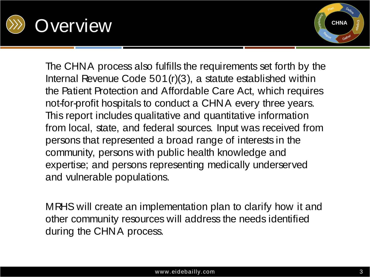



The CHNA process also fulfills the requirements set forth by the Internal Revenue Code 501(r)(3), a statute established within the Patient Protection and Affordable Care Act, which requires not-for-profit hospitals to conduct a CHNA every three years. This report includes qualitative and quantitative information from local, state, and federal sources. Input was received from persons that represented a broad range of interests in the community, persons with public health knowledge and expertise; and persons representing medically underserved and vulnerable populations.

MRHS will create an implementation plan to clarify how it and other community resources will address the needs identified during the CHNA process.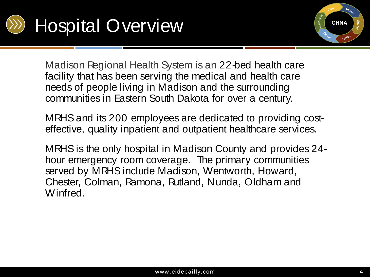



Madison Regional Health System is an 22-bed health care facility that has been serving the medical and health care needs of people living in Madison and the surrounding communities in Eastern South Dakota for over a century.

MRHS and its 200 employees are dedicated to providing costeffective, quality inpatient and outpatient healthcare services.

MRHS is the only hospital in Madison County and provides 24 hour emergency room coverage. The primary communities served by MRHS include Madison, Wentworth, Howard, Chester, Colman, Ramona, Rutland, Nunda, Oldham and Winfred.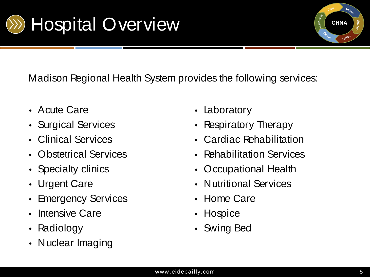



Madison Regional Health System provides the following services:

- Acute Care
- Surgical Services
- Clinical Services
- Obstetrical Services
- Specialty clinics
- Urgent Care
- Emergency Services
- Intensive Care
- Radiology
- Nuclear Imaging
- Laboratory
- Respiratory Therapy
- Cardiac Rehabilitation
- Rehabilitation Services
- Occupational Health
- Nutritional Services
- Home Care
- Hospice
- Swing Bed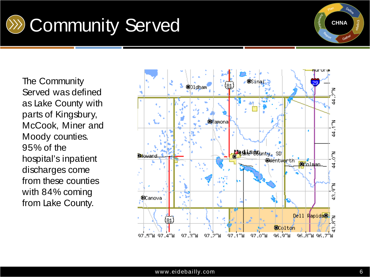



The Community Served was defined as Lake County with parts of Kingsbury, McCook, Miner and Moody counties. 95% of the hospital's inpatient discharges come from these counties with 84% coming from Lake County.

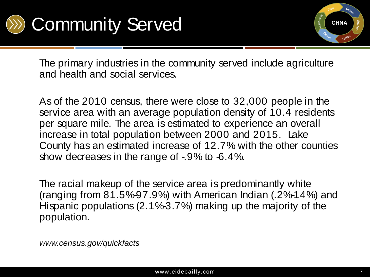



The primary industries in the community served include agriculture and health and social services.

As of the 2010 census, there were close to 32,000 people in the service area with an average population density of 10.4 residents per square mile. The area is estimated to experience an overall increase in total population between 2000 and 2015. Lake County has an estimated increase of 12.7% with the other counties show decreases in the range of -.9% to -6.4%.

The racial makeup of the service area is predominantly white (ranging from 81.5%-97.9%) with American Indian (.2%-14%) and Hispanic populations (2.1%-3.7%) making up the majority of the population.

*www.census.gov/quickfacts*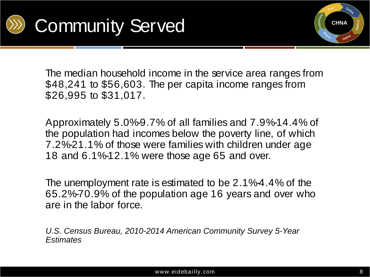



The median household income in the service area ranges from \$48,241 to \$56,603. The per capita income ranges from \$26,995 to \$31,017.

Approximately 5.0%-9.7% of all families and 7.9%-14.4% of the population had incomes below the poverty line, of which 7.2%-21.1% of those were families with children under age 18 and 6.1%-12.1% were those age 65 and over.

The unemployment rate is estimated to be 2.1%-4.4% of the 65.2%-70.9% of the population age 16 years and over who are in the labor force.

*U.S. Census Bureau, 2010-2014 American Community Survey 5-Year Estimates*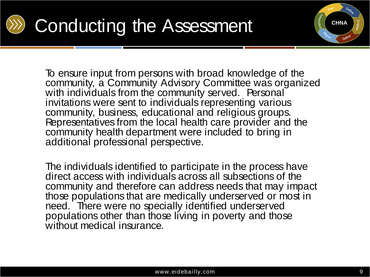

# Conducting the Assessment



To ensure input from persons with broad knowledge of the community, a Community Advisory Committee was organized with individuals from the community served. Personal invitations were sent to individuals representing various community, business, educational and religious groups. Representatives from the local health care provider and the community health department were included to bring in additional professional perspective.

The individuals identified to participate in the process have direct access with individuals across all subsections of the community and therefore can address needs that may impact those populations that are medically underserved or most in need. There were no specially identified underserved populations other than those living in poverty and those without medical insurance.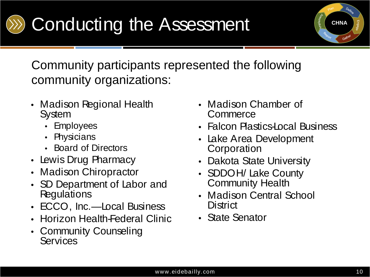

Community participants represented the following community organizations:

- Madison Regional Health **System** 
	- Employees
	- Physicians
	- Board of Directors
- Lewis Drug Pharmacy
- Madison Chiropractor
- SD Department of Labor and **Regulations**
- ECCO, Inc.—Local Business
- Horizon Health-Federal Clinic
- Community Counseling **Services**
- Madison Chamber of Commerce
- Falcon Plastics-Local Business
- Lake Area Development **Corporation**
- Dakota State University
- SDDOH/ Lake County Community Health
- Madison Central School **District**
- State Senator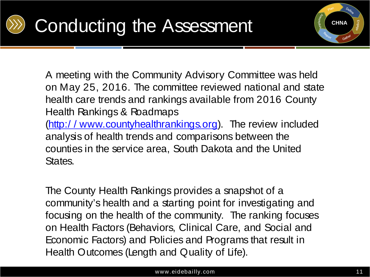



A meeting with the Community Advisory Committee was held on May 25, 2016. The committee reviewed national and state health care trends and rankings available from 2016 County Health Rankings & Roadmaps

(http:/ / www.countyhealthrankings.org). The review included analysis of health trends and comparisons between the counties in the service area, South Dakota and the United States.

The County Health Rankings provides a snapshot of a community's health and a starting point for investigating and focusing on the health of the community. The ranking focuses on Health Factors (Behaviors, Clinical Care, and Social and Economic Factors) and Policies and Programs that result in Health Outcomes (Length and Quality of Life).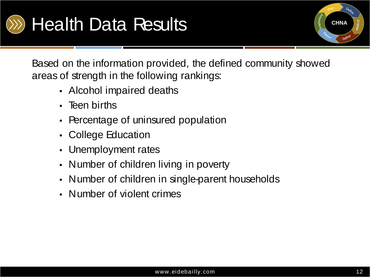



Based on the information provided, the defined community showed areas of strength in the following rankings:

- Alcohol impaired deaths
- Teen births
- Percentage of uninsured population
- College Education
- Unemployment rates
- Number of children living in poverty
- Number of children in single-parent households
- Number of violent crimes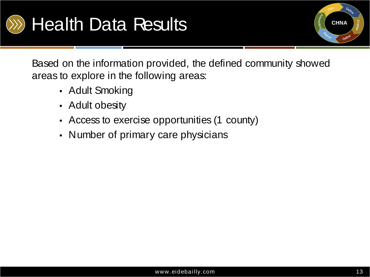



Based on the information provided, the defined community showed areas to explore in the following areas:

- Adult Smoking
- Adult obesity
- Access to exercise opportunities (1 county)
- Number of primary care physicians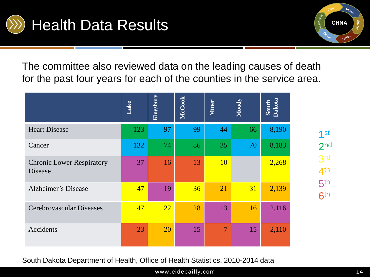



The committee also reviewed data on the leading causes of death for the past four years for each of the counties in the service area.

|                                             | Lake | Kingsbury | McCook | <b>Miner</b>   | Moody | South<br>Dakota |
|---------------------------------------------|------|-----------|--------|----------------|-------|-----------------|
| <b>Heart Disease</b>                        | 123  | 97        | 99     | 44             | 66    | 8,190           |
| Cancer                                      | 132  | 74        | 86     | 35             | 70    | 8,183           |
| <b>Chronic Lower Respiratory</b><br>Disease | 37   | 16        | 13     | <b>10</b>      |       | 2,268           |
| <b>Alzheimer's Disease</b>                  | 47   | 19        | 36     | 21             | 31    | 2,139           |
| Cerebrovascular Diseases                    | 47   | 22        | 28     | 13             | 16    | 2,116           |
| Accidents                                   | 23   | 20        | 15     | $\overline{7}$ | 15    | 2,110           |

South Dakota Department of Health, Office of Health Statistics, 2010-2014 data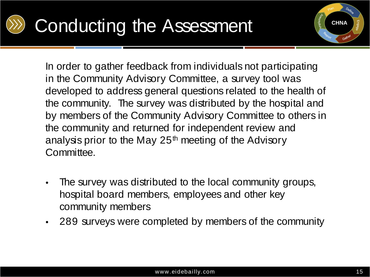

# Conducting the Assessment



In order to gather feedback from individuals not participating in the Community Advisory Committee, a survey tool was developed to address general questions related to the health of the community. The survey was distributed by the hospital and by members of the Community Advisory Committee to others in the community and returned for independent review and analysis prior to the May  $25<sup>th</sup>$  meeting of the Advisory Committee.

- The survey was distributed to the local community groups, hospital board members, employees and other key community members
- 289 surveys were completed by members of the community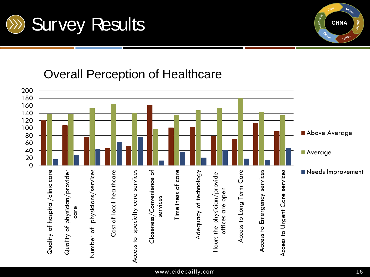

### Overall Perception of Healthcare



**CHNA**

mplement

Define

Gather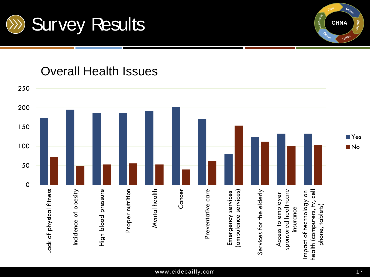

#### Overall Health Issues



**CHNA**

mplement

Define

Gather

Engage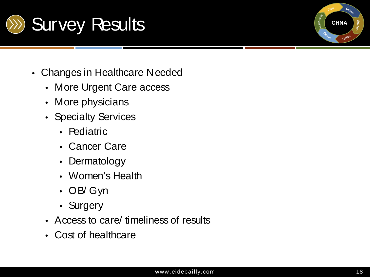

- Changes in Healthcare Needed
	- More Urgent Care access
	- More physicians
	- Specialty Services
		- Pediatric
		- Cancer Care
		- Dermatology
		- Women's Health
		- OB/ Gyn
		- Surgery
	- Access to care/ timeliness of results
	- Cost of healthcare

**CHNA**

Gathe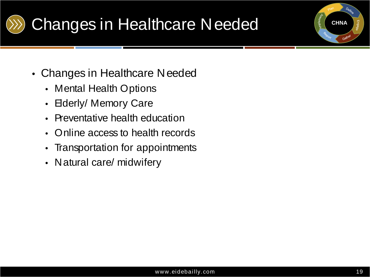

### Changes in Healthcare Needed

- Changes in Healthcare Needed
	- Mental Health Options
	- Elderly/ Memory Care
	- Preventative health education
	- Online access to health records
	- Transportation for appointments
	- Natural care/ midwifery

**CHNA**

Gathe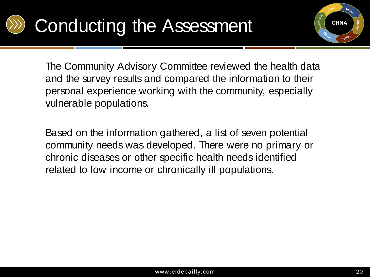

# Conducting the Assessment



The Community Advisory Committee reviewed the health data and the survey results and compared the information to their personal experience working with the community, especially vulnerable populations.

Based on the information gathered, a list of seven potential community needs was developed. There were no primary or chronic diseases or other specific health needs identified related to low income or chronically ill populations.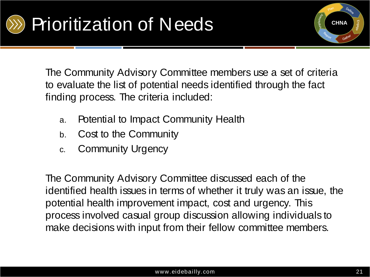

The Community Advisory Committee members use a set of criteria to evaluate the list of potential needs identified through the fact finding process. The criteria included:

- a. Potential to Impact Community Health
- b. Cost to the Community
- c. Community Urgency

The Community Advisory Committee discussed each of the identified health issues in terms of whether it truly was an issue, the potential health improvement impact, cost and urgency. This process involved casual group discussion allowing individuals to make decisions with input from their fellow committee members.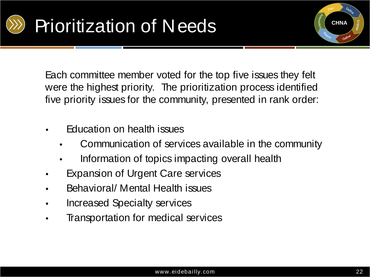



Each committee member voted for the top five issues they felt were the highest priority. The prioritization process identified five priority issues for the community, presented in rank order:

- Education on health issues
	- Communication of services available in the community
	- Information of topics impacting overall health
- **Expansion of Urgent Care services**
- Behavioral/ Mental Health issues
- Increased Specialty services
- Transportation for medical services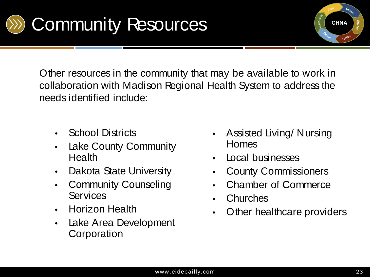



Other resources in the community that may be available to work in collaboration with Madison Regional Health System to address the needs identified include:

- School Districts
- Lake County Community **Health**
- Dakota State University
- Community Counseling **Services**
- Horizon Health
- Lake Area Development **Corporation**
- Assisted Living/ Nursing Homes
- Local businesses
- County Commissioners
- Chamber of Commerce
- **Churches**
- Other healthcare providers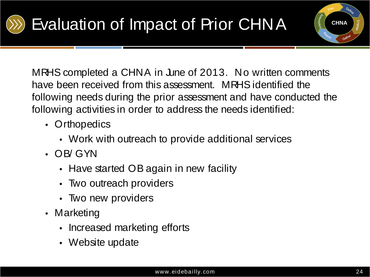

**CHNA**

MRHS completed a CHNA in June of 2013. No written comments have been received from this assessment. MRHS identified the following needs during the prior assessment and have conducted the following activities in order to address the needs identified:

- Orthopedics
	- Work with outreach to provide additional services
- OB/ GYN
	- Have started OB again in new facility
	- Two outreach providers
	- Two new providers
- Marketing
	- Increased marketing efforts
	- Website update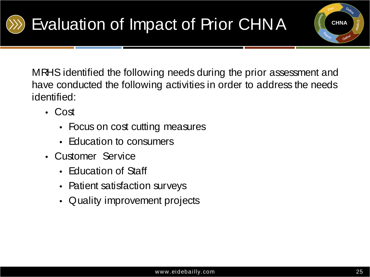

MRHS identified the following needs during the prior assessment and have conducted the following activities in order to address the needs identified:

- Cost
	- Focus on cost cutting measures
	- Education to consumers
- Customer Service
	- Education of Staff
	- Patient satisfaction surveys
	- Quality improvement projects

**CHNA**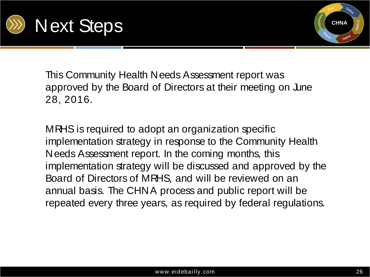



This Community Health Needs Assessment report was approved by the Board of Directors at their meeting on June 28, 2016.

MRHS is required to adopt an organization specific implementation strategy in response to the Community Health Needs Assessment report. In the coming months, this implementation strategy will be discussed and approved by the Board of Directors of MRHS, and will be reviewed on an annual basis. The CHNA process and public report will be repeated every three years, as required by federal regulations.